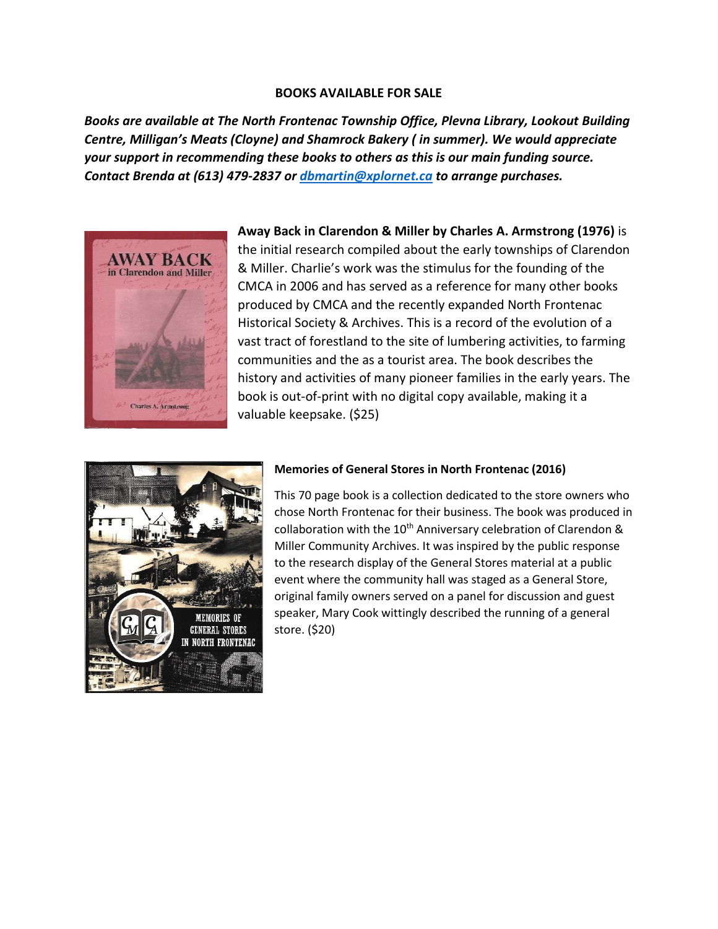### **BOOKS AVAILABLE FOR SALE**

*Books are available at The North Frontenac Township Office, Plevna Library, Lookout Building Centre, Milligan's Meats (Cloyne) and Shamrock Bakery ( in summer). We would appreciate your support in recommending these books to others as this is our main funding source. Contact Brenda at (613) 479-2837 o[r dbmartin@xplornet.ca](mailto:dbmartin@xplornet.ca) to arrange purchases.*



**Away Back in Clarendon & Miller by Charles A. Armstrong (1976)** is the initial research compiled about the early townships of Clarendon & Miller. Charlie's work was the stimulus for the founding of the CMCA in 2006 and has served as a reference for many other books produced by CMCA and the recently expanded North Frontenac Historical Society & Archives. This is a record of the evolution of a vast tract of forestland to the site of lumbering activities, to farming communities and the as a tourist area. The book describes the history and activities of many pioneer families in the early years. The book is out-of-print with no digital copy available, making it a valuable keepsake. (\$25)



## **Memories of General Stores in North Frontenac (2016)**

This 70 page book is a collection dedicated to the store owners who chose North Frontenac for their business. The book was produced in collaboration with the 10<sup>th</sup> Anniversary celebration of Clarendon & Miller Community Archives. It was inspired by the public response to the research display of the General Stores material at a public event where the community hall was staged as a General Store, original family owners served on a panel for discussion and guest speaker, Mary Cook wittingly described the running of a general store. (\$20)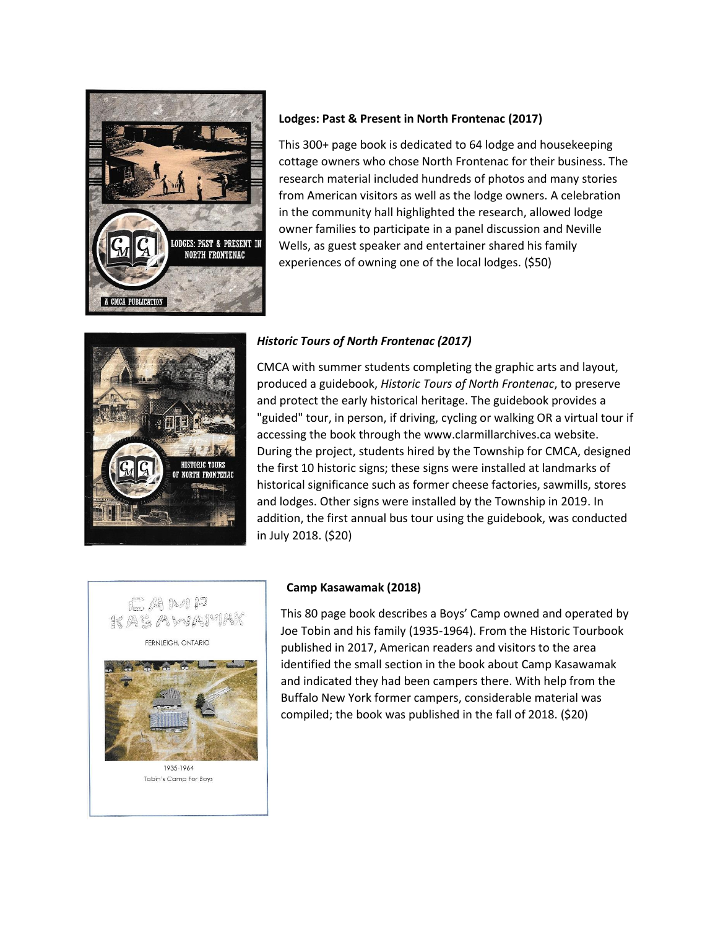

## **Lodges: Past & Present in North Frontenac (2017)**

This 300+ page book is dedicated to 64 lodge and housekeeping cottage owners who chose North Frontenac for their business. The research material included hundreds of photos and many stories from American visitors as well as the lodge owners. A celebration in the community hall highlighted the research, allowed lodge owner families to participate in a panel discussion and Neville Wells, as guest speaker and entertainer shared his family experiences of owning one of the local lodges. (\$50)



## *Historic Tours of North Frontenac (2017)*

CMCA with summer students completing the graphic arts and layout, produced a guidebook, *Historic Tours of North Frontenac*, to preserve and protect the early historical heritage. The guidebook provides a "guided" tour, in person, if driving, cycling or walking OR a virtual tour if accessing the book through the www.clarmillarchives.ca website. During the project, students hired by the Township for CMCA, designed the first 10 historic signs; these signs were installed at landmarks of historical significance such as former cheese factories, sawmills, stores and lodges. Other signs were installed by the Township in 2019. In addition, the first annual bus tour using the guidebook, was conducted in July 2018. (\$20)



1935-1964 Tobin's Camp For Boys

#### **Camp Kasawamak (2018)**

This 80 page book describes a Boys' Camp owned and operated by Joe Tobin and his family (1935-1964). From the Historic Tourbook published in 2017, American readers and visitors to the area identified the small section in the book about Camp Kasawamak and indicated they had been campers there. With help from the Buffalo New York former campers, considerable material was compiled; the book was published in the fall of 2018. (\$20)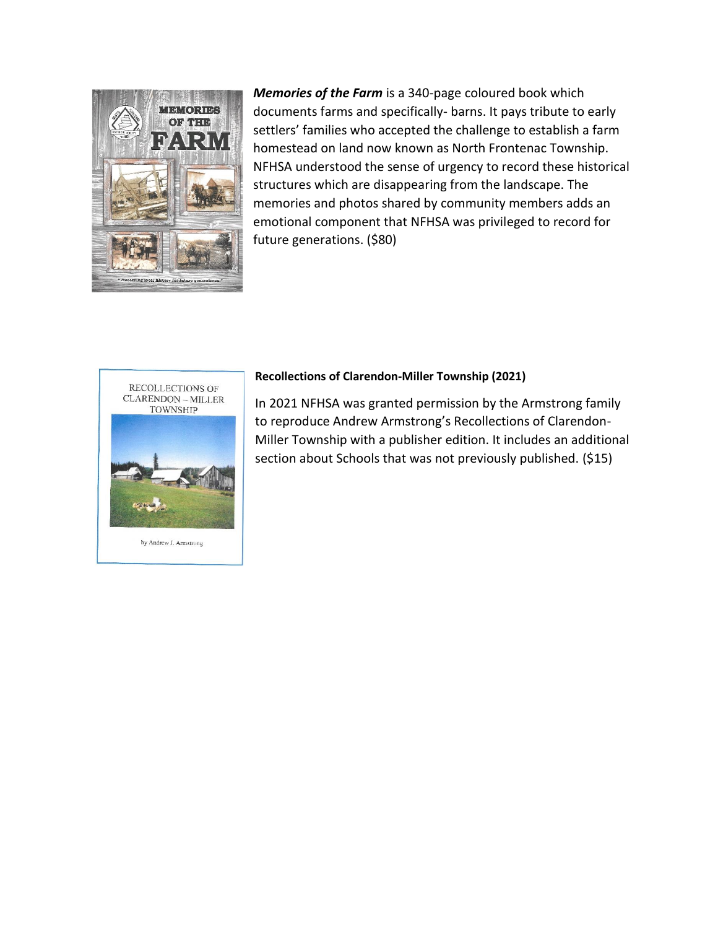

*Memories of the Farm* is a 340-page coloured book which documents farms and specifically- barns. It pays tribute to early settlers' families who accepted the challenge to establish a farm homestead on land now known as North Frontenac Township. NFHSA understood the sense of urgency to record these historical structures which are disappearing from the landscape. The memories and photos shared by community members adds an emotional component that NFHSA was privileged to record for future generations. (\$80)



by Andrew J. Armstrong

#### **Recollections of Clarendon-Miller Township (2021)**

In 2021 NFHSA was granted permission by the Armstrong family to reproduce Andrew Armstrong's Recollections of Clarendon-Miller Township with a publisher edition. It includes an additional section about Schools that was not previously published. (\$15)